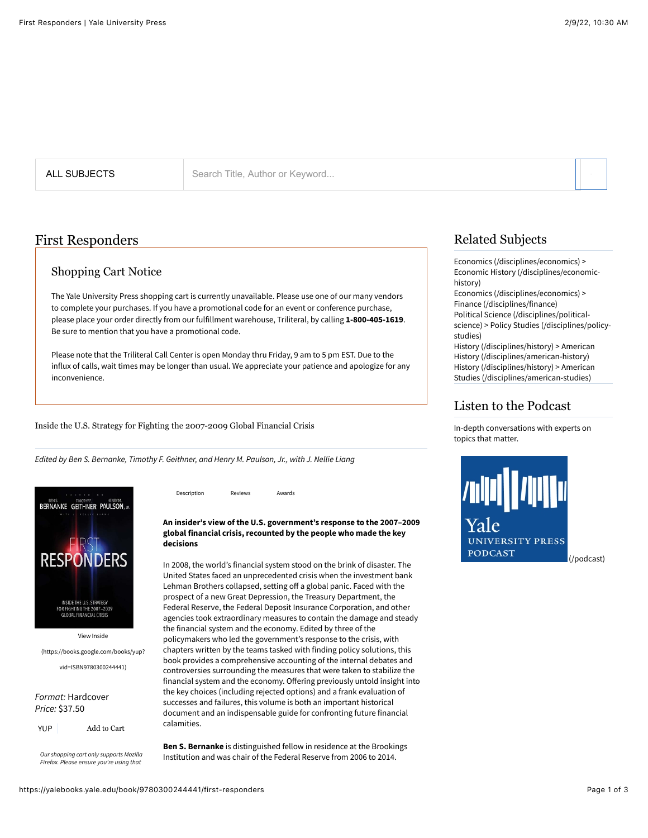ALL SUBJECTS Search Title, Author or Keyword...

## First Responders

#### Shopping Cart Notice

The Yale University Press shopping cart is currently unavailable. Please use one of our many vendors to complete your purchases. If you have a promotional code for an event or conference purchase, please place your order directly from our fulfillment warehouse, Triliteral, by calling **1-800-405-1619**. Be sure to mention that you have a promotional code.

Please note that the Triliteral Call Center is open Monday thru Friday, 9 am to 5 pm EST. Due to the influx of calls, wait times may be longer than usual. We appreciate your patience and apologize for any inconvenience.

[Description](https://yalebooks.yale.edu/book/9780300244441/first-responders#book-description) [Reviews](https://yalebooks.yale.edu/book/9780300244441/first-responders#book-reviews) [Awards](https://yalebooks.yale.edu/book/9780300244441/first-responders#book-awards)

Inside the U.S. Strategy for Fighting the 2007-2009 Global Financial Crisis

*Edited by Ben S. Bernanke, Timothy F. Geithner, and Henry M. Paulson, Jr., with J. Nellie Liang*



View Inside

[\(https://books.google.com/books/yup?](https://books.google.com/books/yup?vid=ISBN9780300244441)

vid=ISBN9780300244441)

*Format:* Hardcover *Price:* \$37.50

*Our shopping cart only supports Mozilla Firefox. Please ensure you're using that*

**An insider's view of the U.S. government's response to the 2007–2009 global financial crisis, recounted by the people who made the key decisions**

In 2008, the world's financial system stood on the brink of disaster. The United States faced an unprecedented crisis when the investment bank Lehman Brothers collapsed, setting off a global panic. Faced with the prospect of a new Great Depression, the Treasury Department, the Federal Reserve, the Federal Deposit Insurance Corporation, and other agencies took extraordinary measures to contain the damage and steady the financial system and the economy. Edited by three of the policymakers who led the government's response to the crisis, with chapters written by the teams tasked with finding policy solutions, this book provides a comprehensive accounting of the internal debates and controversies surrounding the measures that were taken to stabilize the financial system and the economy. Offering previously untold insight into the key choices (including rejected options) and a frank evaluation of successes and failures, this volume is both an important historical document and an indispensable guide for confronting future financial calamities.

**Ben S. Bernanke** is distinguished fellow in residence at the Brookings Institution and was chair of the Federal Reserve from 2006 to 2014.

## Related Subjects

[Economics \(/disciplines/economics\)](https://yalebooks.yale.edu/disciplines/economics) > [Economic History \(/disciplines/economic](https://yalebooks.yale.edu/disciplines/economic-history)history)

[Economics \(/disciplines/economics\)](https://yalebooks.yale.edu/disciplines/economics) > [Finance \(/disciplines/finance\)](https://yalebooks.yale.edu/disciplines/finance)

[Political Science \(/disciplines/political](https://yalebooks.yale.edu/disciplines/political-science)science) [> Policy Studies \(/disciplines/policy](https://yalebooks.yale.edu/disciplines/policy-studies)studies)

[History \(/disciplines/history\)](https://yalebooks.yale.edu/disciplines/history) > American [History \(/disciplines/american-history\)](https://yalebooks.yale.edu/disciplines/american-history) [History \(/disciplines/history\)](https://yalebooks.yale.edu/disciplines/history) > American [Studies \(/disciplines/american-studies\)](https://yalebooks.yale.edu/disciplines/american-studies)

#### Listen to the Podcast

In-depth conversations with experts on topics that matter.

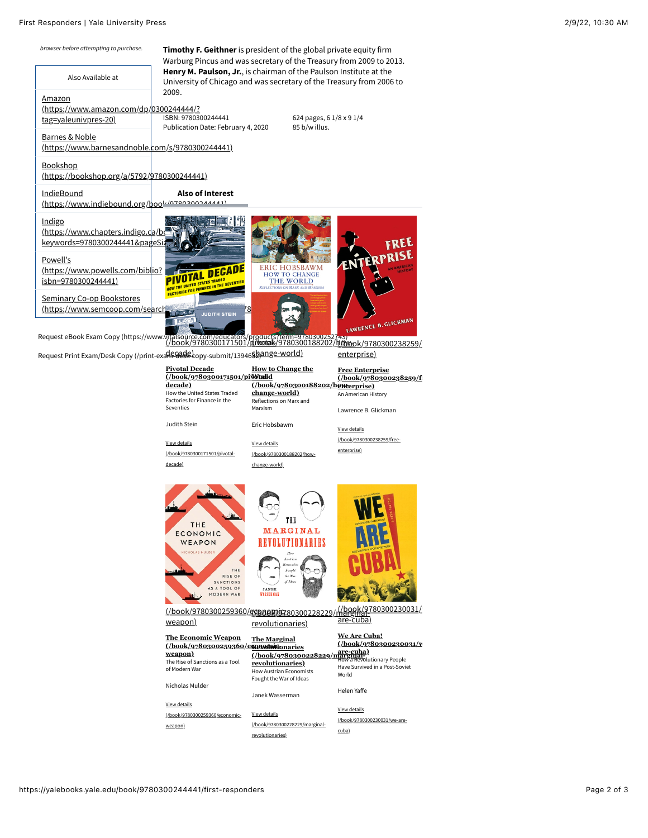#### First Responders | Yale University Press 2/9/22, 10:30 AM





| <b>The Economic Weapon</b>      | <b>The Marginal</b>            | we Are Cuba:                                        |
|---------------------------------|--------------------------------|-----------------------------------------------------|
| (/book/9780300259360/emments    |                                | $( / \text{book} / \text{9780300230031} / \text{v}$ |
| weapon)                         | (/book/9780300228229/marginal) |                                                     |
| The Rise of Sanctions as a Tool | revolutionaries)               | How a Revolutionary People                          |
| of Modern War                   | <b>How Austrian Economists</b> | Have Survived in a Post-Soviet<br>World             |
|                                 | Fought the War of Ideas        |                                                     |
| Nicholas Mulder                 | Janek Wasserman                | Helen Yaffe                                         |
| View details                    |                                |                                                     |
| (/book/9780300259360/economic-  | View details                   | View details                                        |
| weapon)                         | (/book/9780300228229/marginal- | (/book/9780300230031/we-are-                        |
|                                 | revolutionaries)               | cuba)                                               |

weapon)